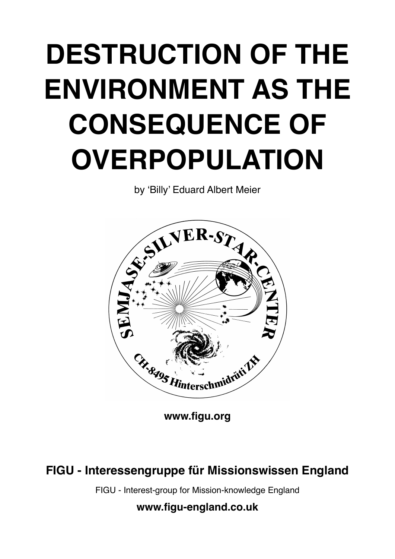## **DESTRUCTION OF THE ENVIRONMENT AS THE CONSEQUENCE OF OVERPOPULATION**

by 'Billy' Eduard Albert Meier



**[www.figu.org](http://www.figu.org)**

**FIGU - Interessengruppe für Missionswissen England**

FIGU - Interest-group for Mission-knowledge England

**[www.figu-england.co.uk](http://www.figu-england.co.uk)**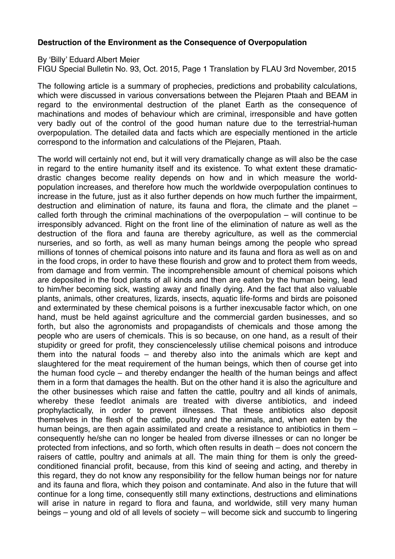## **Destruction of the Environment as the Consequence of Overpopulation**

By 'Billy' Eduard Albert Meier

FIGU Special Bulletin No. 93, Oct. 2015, Page 1 Translation by FLAU 3rd November, 2015

The following article is a summary of prophecies, predictions and probability calculations, which were discussed in various conversations between the Plejaren Ptaah and BEAM in regard to the environmental destruction of the planet Earth as the consequence of machinations and modes of behaviour which are criminal, irresponsible and have gotten very badly out of the control of the good human nature due to the terrestrial-human overpopulation. The detailed data and facts which are especially mentioned in the article correspond to the information and calculations of the Plejaren, Ptaah.

The world will certainly not end, but it will very dramatically change as will also be the case in regard to the entire humanity itself and its existence. To what extent these dramaticdrastic changes become reality depends on how and in which measure the worldpopulation increases, and therefore how much the worldwide overpopulation continues to increase in the future, just as it also further depends on how much further the impairment, destruction and elimination of nature, its fauna and flora, the climate and the planet – called forth through the criminal machinations of the overpopulation – will continue to be irresponsibly advanced. Right on the front line of the elimination of nature as well as the destruction of the flora and fauna are thereby agriculture, as well as the commercial nurseries, and so forth, as well as many human beings among the people who spread millions of tonnes of chemical poisons into nature and its fauna and flora as well as on and in the food crops, in order to have these flourish and grow and to protect them from weeds, from damage and from vermin. The incomprehensible amount of chemical poisons which are deposited in the food plants of all kinds and then are eaten by the human being, lead to him/her becoming sick, wasting away and finally dying. And the fact that also valuable plants, animals, other creatures, lizards, insects, aquatic life-forms and birds are poisoned and exterminated by these chemical poisons is a further inexcusable factor which, on one hand, must be held against agriculture and the commercial garden businesses, and so forth, but also the agronomists and propagandists of chemicals and those among the people who are users of chemicals. This is so because, on one hand, as a result of their stupidity or greed for profit, they consciencelessly utilise chemical poisons and introduce them into the natural foods – and thereby also into the animals which are kept and slaughtered for the meat requirement of the human beings, which then of course get into the human food cycle – and thereby endanger the health of the human beings and affect them in a form that damages the health. But on the other hand it is also the agriculture and the other businesses which raise and fatten the cattle, poultry and all kinds of animals, whereby these feedlot animals are treated with diverse antibiotics, and indeed prophylactically, in order to prevent illnesses. That these antibiotics also deposit themselves in the flesh of the cattle, poultry and the animals, and, when eaten by the human beings, are then again assimilated and create a resistance to antibiotics in them – consequently he/she can no longer be healed from diverse illnesses or can no longer be protected from infections, and so forth, which often results in death – does not concern the raisers of cattle, poultry and animals at all. The main thing for them is only the greedconditioned financial profit, because, from this kind of seeing and acting, and thereby in this regard, they do not know any responsibility for the fellow human beings nor for nature and its fauna and flora, which they poison and contaminate. And also in the future that will continue for a long time, consequently still many extinctions, destructions and eliminations will arise in nature in regard to flora and fauna, and worldwide, still very many human beings – young and old of all levels of society – will become sick and succumb to lingering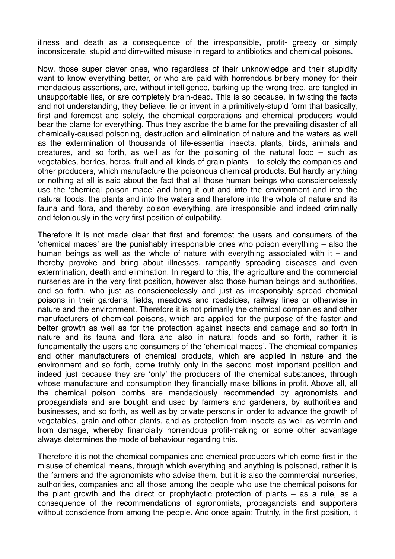illness and death as a consequence of the irresponsible, profit- greedy or simply inconsiderate, stupid and dim-witted misuse in regard to antibiotics and chemical poisons.

Now, those super clever ones, who regardless of their unknowledge and their stupidity want to know everything better, or who are paid with horrendous bribery money for their mendacious assertions, are, without intelligence, barking up the wrong tree, are tangled in unsupportable lies, or are completely brain-dead. This is so because, in twisting the facts and not understanding, they believe, lie or invent in a primitively-stupid form that basically, first and foremost and solely, the chemical corporations and chemical producers would bear the blame for everything. Thus they ascribe the blame for the prevailing disaster of all chemically-caused poisoning, destruction and elimination of nature and the waters as well as the extermination of thousands of life-essential insects, plants, birds, animals and creatures, and so forth, as well as for the poisoning of the natural food – such as vegetables, berries, herbs, fruit and all kinds of grain plants – to solely the companies and other producers, which manufacture the poisonous chemical products. But hardly anything or nothing at all is said about the fact that all those human beings who consciencelessly use the 'chemical poison mace' and bring it out and into the environment and into the natural foods, the plants and into the waters and therefore into the whole of nature and its fauna and flora, and thereby poison everything, are irresponsible and indeed criminally and feloniously in the very first position of culpability.

Therefore it is not made clear that first and foremost the users and consumers of the 'chemical maces' are the punishably irresponsible ones who poison everything – also the human beings as well as the whole of nature with everything associated with it – and thereby provoke and bring about illnesses, rampantly spreading diseases and even extermination, death and elimination. In regard to this, the agriculture and the commercial nurseries are in the very first position, however also those human beings and authorities, and so forth, who just as consciencelessly and just as irresponsibly spread chemical poisons in their gardens, fields, meadows and roadsides, railway lines or otherwise in nature and the environment. Therefore it is not primarily the chemical companies and other manufacturers of chemical poisons, which are applied for the purpose of the faster and better growth as well as for the protection against insects and damage and so forth in nature and its fauna and flora and also in natural foods and so forth, rather it is fundamentally the users and consumers of the 'chemical maces'. The chemical companies and other manufacturers of chemical products, which are applied in nature and the environment and so forth, come truthly only in the second most important position and indeed just because they are 'only' the producers of the chemical substances, through whose manufacture and consumption they financially make billions in profit. Above all, all the chemical poison bombs are mendaciously recommended by agronomists and propagandists and are bought and used by farmers and gardeners, by authorities and businesses, and so forth, as well as by private persons in order to advance the growth of vegetables, grain and other plants, and as protection from insects as well as vermin and from damage, whereby financially horrendous profit-making or some other advantage always determines the mode of behaviour regarding this.

Therefore it is not the chemical companies and chemical producers which come first in the misuse of chemical means, through which everything and anything is poisoned, rather it is the farmers and the agronomists who advise them, but it is also the commercial nurseries, authorities, companies and all those among the people who use the chemical poisons for the plant growth and the direct or prophylactic protection of plants – as a rule, as a consequence of the recommendations of agronomists, propagandists and supporters without conscience from among the people. And once again: Truthly, in the first position, it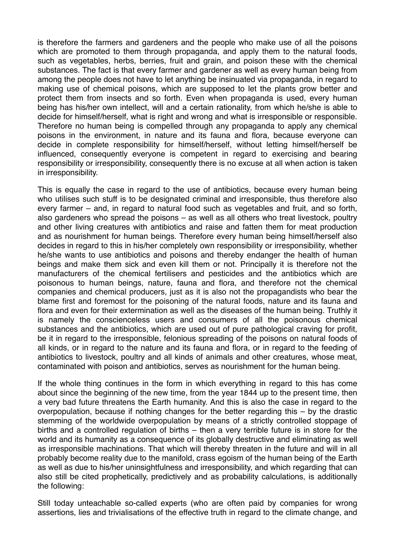is therefore the farmers and gardeners and the people who make use of all the poisons which are promoted to them through propaganda, and apply them to the natural foods, such as vegetables, herbs, berries, fruit and grain, and poison these with the chemical substances. The fact is that every farmer and gardener as well as every human being from among the people does not have to let anything be insinuated via propaganda, in regard to making use of chemical poisons, which are supposed to let the plants grow better and protect them from insects and so forth. Even when propaganda is used, every human being has his/her own intellect, will and a certain rationality, from which he/she is able to decide for himself/herself, what is right and wrong and what is irresponsible or responsible. Therefore no human being is compelled through any propaganda to apply any chemical poisons in the environment, in nature and its fauna and flora, because everyone can decide in complete responsibility for himself/herself, without letting himself/herself be influenced, consequently everyone is competent in regard to exercising and bearing responsibility or irresponsibility, consequently there is no excuse at all when action is taken in irresponsibility.

This is equally the case in regard to the use of antibiotics, because every human being who utilises such stuff is to be designated criminal and irresponsible, thus therefore also every farmer – and, in regard to natural food such as vegetables and fruit, and so forth, also gardeners who spread the poisons – as well as all others who treat livestock, poultry and other living creatures with antibiotics and raise and fatten them for meat production and as nourishment for human beings. Therefore every human being himself/herself also decides in regard to this in his/her completely own responsibility or irresponsibility, whether he/she wants to use antibiotics and poisons and thereby endanger the health of human beings and make them sick and even kill them or not. Principally it is therefore not the manufacturers of the chemical fertilisers and pesticides and the antibiotics which are poisonous to human beings, nature, fauna and flora, and therefore not the chemical companies and chemical producers, just as it is also not the propagandists who bear the blame first and foremost for the poisoning of the natural foods, nature and its fauna and flora and even for their extermination as well as the diseases of the human being. Truthly it is namely the conscienceless users and consumers of all the poisonous chemical substances and the antibiotics, which are used out of pure pathological craving for profit, be it in regard to the irresponsible, felonious spreading of the poisons on natural foods of all kinds, or in regard to the nature and its fauna and flora, or in regard to the feeding of antibiotics to livestock, poultry and all kinds of animals and other creatures, whose meat, contaminated with poison and antibiotics, serves as nourishment for the human being.

If the whole thing continues in the form in which everything in regard to this has come about since the beginning of the new time, from the year 1844 up to the present time, then a very bad future threatens the Earth humanity. And this is also the case in regard to the overpopulation, because if nothing changes for the better regarding this – by the drastic stemming of the worldwide overpopulation by means of a strictly controlled stoppage of births and a controlled regulation of births – then a very terrible future is in store for the world and its humanity as a consequence of its globally destructive and eliminating as well as irresponsible machinations. That which will thereby threaten in the future and will in all probably become reality due to the manifold, crass egoism of the human being of the Earth as well as due to his/her uninsightfulness and irresponsibility, and which regarding that can also still be cited prophetically, predictively and as probability calculations, is additionally the following:

Still today unteachable so-called experts (who are often paid by companies for wrong assertions, lies and trivialisations of the effective truth in regard to the climate change, and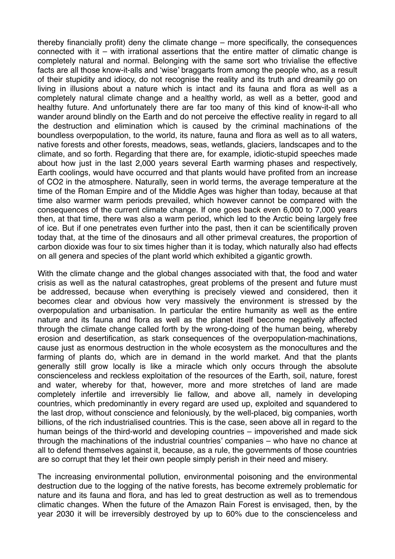thereby financially profit) deny the climate change – more specifically, the consequences connected with it – with irrational assertions that the entire matter of climatic change is completely natural and normal. Belonging with the same sort who trivialise the effective facts are all those know-it-alls and 'wise' braggarts from among the people who, as a result of their stupidity and idiocy, do not recognise the reality and its truth and dreamily go on living in illusions about a nature which is intact and its fauna and flora as well as a completely natural climate change and a healthy world, as well as a better, good and healthy future. And unfortunately there are far too many of this kind of know-it-all who wander around blindly on the Earth and do not perceive the effective reality in regard to all the destruction and elimination which is caused by the criminal machinations of the boundless overpopulation, to the world, its nature, fauna and flora as well as to all waters, native forests and other forests, meadows, seas, wetlands, glaciers, landscapes and to the climate, and so forth. Regarding that there are, for example, idiotic-stupid speeches made about how just in the last 2,000 years several Earth warming phases and respectively, Earth coolings, would have occurred and that plants would have profited from an increase of CO2 in the atmosphere. Naturally, seen in world terms, the average temperature at the time of the Roman Empire and of the Middle Ages was higher than today, because at that time also warmer warm periods prevailed, which however cannot be compared with the consequences of the current climate change. If one goes back even 6,000 to 7,000 years then, at that time, there was also a warm period, which led to the Arctic being largely free of ice. But if one penetrates even further into the past, then it can be scientifically proven today that, at the time of the dinosaurs and all other primeval creatures, the proportion of carbon dioxide was four to six times higher than it is today, which naturally also had effects on all genera and species of the plant world which exhibited a gigantic growth.

With the climate change and the global changes associated with that, the food and water crisis as well as the natural catastrophes, great problems of the present and future must be addressed, because when everything is precisely viewed and considered, then it becomes clear and obvious how very massively the environment is stressed by the overpopulation and urbanisation. In particular the entire humanity as well as the entire nature and its fauna and flora as well as the planet itself become negatively affected through the climate change called forth by the wrong-doing of the human being, whereby erosion and desertification, as stark consequences of the overpopulation-machinations, cause just as enormous destruction in the whole ecosystem as the monocultures and the farming of plants do, which are in demand in the world market. And that the plants generally still grow locally is like a miracle which only occurs through the absolute conscienceless and reckless exploitation of the resources of the Earth, soil, nature, forest and water, whereby for that, however, more and more stretches of land are made completely infertile and irreversibly lie fallow, and above all, namely in developing countries, which predominantly in every regard are used up, exploited and squandered to the last drop, without conscience and feloniously, by the well-placed, big companies, worth billions, of the rich industrialised countries. This is the case, seen above all in regard to the human beings of the third-world and developing countries – impoverished and made sick through the machinations of the industrial countries' companies – who have no chance at all to defend themselves against it, because, as a rule, the governments of those countries are so corrupt that they let their own people simply perish in their need and misery.

The increasing environmental pollution, environmental poisoning and the environmental destruction due to the logging of the native forests, has become extremely problematic for nature and its fauna and flora, and has led to great destruction as well as to tremendous climatic changes. When the future of the Amazon Rain Forest is envisaged, then, by the year 2030 it will be irreversibly destroyed by up to 60% due to the conscienceless and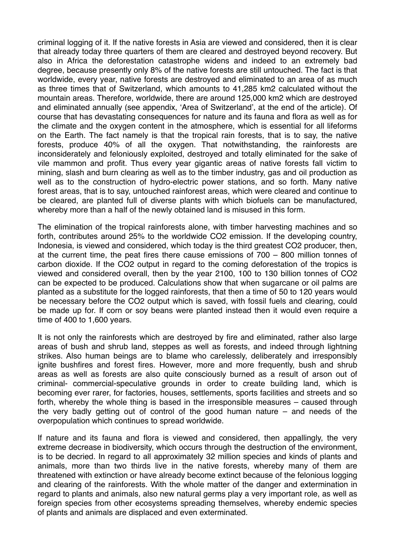criminal logging of it. If the native forests in Asia are viewed and considered, then it is clear that already today three quarters of them are cleared and destroyed beyond recovery. But also in Africa the deforestation catastrophe widens and indeed to an extremely bad degree, because presently only 8% of the native forests are still untouched. The fact is that worldwide, every year, native forests are destroyed and eliminated to an area of as much as three times that of Switzerland, which amounts to 41,285 km2 calculated without the mountain areas. Therefore, worldwide, there are around 125,000 km2 which are destroyed and eliminated annually (see appendix, 'Area of Switzerland', at the end of the article). Of course that has devastating consequences for nature and its fauna and flora as well as for the climate and the oxygen content in the atmosphere, which is essential for all lifeforms on the Earth. The fact namely is that the tropical rain forests, that is to say, the native forests, produce 40% of all the oxygen. That notwithstanding, the rainforests are inconsiderately and feloniously exploited, destroyed and totally eliminated for the sake of vile mammon and profit. Thus every year gigantic areas of native forests fall victim to mining, slash and burn clearing as well as to the timber industry, gas and oil production as well as to the construction of hydro-electric power stations, and so forth. Many native forest areas, that is to say, untouched rainforest areas, which were cleared and continue to be cleared, are planted full of diverse plants with which biofuels can be manufactured, whereby more than a half of the newly obtained land is misused in this form.

The elimination of the tropical rainforests alone, with timber harvesting machines and so forth, contributes around 25% to the worldwide CO2 emission. If the developing country, Indonesia, is viewed and considered, which today is the third greatest CO2 producer, then, at the current time, the peat fires there cause emissions of 700 – 800 million tonnes of carbon dioxide. If the CO2 output in regard to the coming deforestation of the tropics is viewed and considered overall, then by the year 2100, 100 to 130 billion tonnes of CO2 can be expected to be produced. Calculations show that when sugarcane or oil palms are planted as a substitute for the logged rainforests, that then a time of 50 to 120 years would be necessary before the CO2 output which is saved, with fossil fuels and clearing, could be made up for. If corn or soy beans were planted instead then it would even require a time of 400 to 1,600 years.

It is not only the rainforests which are destroyed by fire and eliminated, rather also large areas of bush and shrub land, steppes as well as forests, and indeed through lightning strikes. Also human beings are to blame who carelessly, deliberately and irresponsibly ignite bushfires and forest fires. However, more and more frequently, bush and shrub areas as well as forests are also quite consciously burned as a result of arson out of criminal- commercial-speculative grounds in order to create building land, which is becoming ever rarer, for factories, houses, settlements, sports facilities and streets and so forth, whereby the whole thing is based in the irresponsible measures – caused through the very badly getting out of control of the good human nature – and needs of the overpopulation which continues to spread worldwide.

If nature and its fauna and flora is viewed and considered, then appallingly, the very extreme decrease in biodiversity, which occurs through the destruction of the environment, is to be decried. In regard to all approximately 32 million species and kinds of plants and animals, more than two thirds live in the native forests, whereby many of them are threatened with extinction or have already become extinct because of the felonious logging and clearing of the rainforests. With the whole matter of the danger and extermination in regard to plants and animals, also new natural germs play a very important role, as well as foreign species from other ecosystems spreading themselves, whereby endemic species of plants and animals are displaced and even exterminated.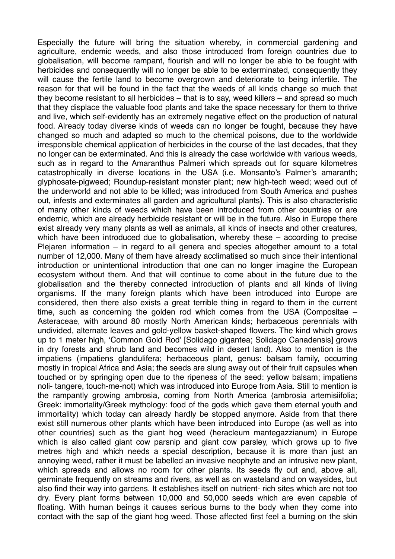Especially the future will bring the situation whereby, in commercial gardening and agriculture, endemic weeds, and also those introduced from foreign countries due to globalisation, will become rampant, flourish and will no longer be able to be fought with herbicides and consequently will no longer be able to be exterminated, consequently they will cause the fertile land to become overgrown and deteriorate to being infertile. The reason for that will be found in the fact that the weeds of all kinds change so much that they become resistant to all herbicides – that is to say, weed killers – and spread so much that they displace the valuable food plants and take the space necessary for them to thrive and live, which self-evidently has an extremely negative effect on the production of natural food. Already today diverse kinds of weeds can no longer be fought, because they have changed so much and adapted so much to the chemical poisons, due to the worldwide irresponsible chemical application of herbicides in the course of the last decades, that they no longer can be exterminated. And this is already the case worldwide with various weeds, such as in regard to the Amaranthus Palmeri which spreads out for square kilometres catastrophically in diverse locations in the USA (i.e. Monsanto's Palmer's amaranth; glyphosate-pigweed; Roundup-resistant monster plant; new high-tech weed; weed out of the underworld and not able to be killed; was introduced from South America and pushes out, infests and exterminates all garden and agricultural plants). This is also characteristic of many other kinds of weeds which have been introduced from other countries or are endemic, which are already herbicide resistant or will be in the future. Also in Europe there exist already very many plants as well as animals, all kinds of insects and other creatures, which have been introduced due to globalisation, whereby these – according to precise Plejaren information – in regard to all genera and species altogether amount to a total number of 12,000. Many of them have already acclimatised so much since their intentional introduction or unintentional introduction that one can no longer imagine the European ecosystem without them. And that will continue to come about in the future due to the globalisation and the thereby connected introduction of plants and all kinds of living organisms. If the many foreign plants which have been introduced into Europe are considered, then there also exists a great terrible thing in regard to them in the current time, such as concerning the golden rod which comes from the USA (Compositae – Asteraceae, with around 80 mostly North American kinds; herbaceous perennials with undivided, alternate leaves and gold-yellow basket-shaped flowers. The kind which grows up to 1 meter high, 'Common Gold Rod' [Solidago gigantea; Solidago Canadensis] grows in dry forests and shrub land and becomes wild in desert land). Also to mention is the impatiens (impatiens glandulifera; herbaceous plant, genus: balsam family, occurring mostly in tropical Africa and Asia; the seeds are slung away out of their fruit capsules when touched or by springing open due to the ripeness of the seed: yellow balsam; impatiens noli- tangere, touch-me-not) which was introduced into Europe from Asia. Still to mention is the rampantly growing ambrosia, coming from North America (ambrosia artemisiifolia; Greek: immortality/Greek mythology: food of the gods which gave them eternal youth and immortality) which today can already hardly be stopped anymore. Aside from that there exist still numerous other plants which have been introduced into Europe (as well as into other countries) such as the giant hog weed (heracleum mantegazzianum) in Europe which is also called giant cow parsnip and giant cow parsley, which grows up to five metres high and which needs a special description, because it is more than just an annoying weed, rather it must be labelled an invasive neophyte and an intrusive new plant, which spreads and allows no room for other plants. Its seeds fly out and, above all, germinate frequently on streams and rivers, as well as on wasteland and on waysides, but also find their way into gardens. It establishes itself on nutrient- rich sites which are not too dry. Every plant forms between 10,000 and 50,000 seeds which are even capable of floating. With human beings it causes serious burns to the body when they come into contact with the sap of the giant hog weed. Those affected first feel a burning on the skin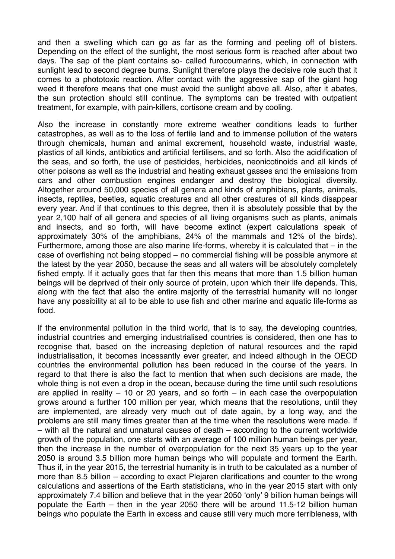and then a swelling which can go as far as the forming and peeling off of blisters. Depending on the effect of the sunlight, the most serious form is reached after about two days. The sap of the plant contains so- called furocoumarins, which, in connection with sunlight lead to second degree burns. Sunlight therefore plays the decisive role such that it comes to a phototoxic reaction. After contact with the aggressive sap of the giant hog weed it therefore means that one must avoid the sunlight above all. Also, after it abates, the sun protection should still continue. The symptoms can be treated with outpatient treatment, for example, with pain-killers, cortisone cream and by cooling.

Also the increase in constantly more extreme weather conditions leads to further catastrophes, as well as to the loss of fertile land and to immense pollution of the waters through chemicals, human and animal excrement, household waste, industrial waste, plastics of all kinds, antibiotics and artificial fertilisers, and so forth. Also the acidification of the seas, and so forth, the use of pesticides, herbicides, neonicotinoids and all kinds of other poisons as well as the industrial and heating exhaust gasses and the emissions from cars and other combustion engines endanger and destroy the biological diversity. Altogether around 50,000 species of all genera and kinds of amphibians, plants, animals, insects, reptiles, beetles, aquatic creatures and all other creatures of all kinds disappear every year. And if that continues to this degree, then it is absolutely possible that by the year 2,100 half of all genera and species of all living organisms such as plants, animals and insects, and so forth, will have become extinct (expert calculations speak of approximately 30% of the amphibians, 24% of the mammals and 12% of the birds). Furthermore, among those are also marine life-forms, whereby it is calculated that – in the case of overfishing not being stopped – no commercial fishing will be possible anymore at the latest by the year 2050, because the seas and all waters will be absolutely completely fished empty. If it actually goes that far then this means that more than 1.5 billion human beings will be deprived of their only source of protein, upon which their life depends. This, along with the fact that also the entire majority of the terrestrial humanity will no longer have any possibility at all to be able to use fish and other marine and aquatic life-forms as food.

If the environmental pollution in the third world, that is to say, the developing countries, industrial countries and emerging industrialised countries is considered, then one has to recognise that, based on the increasing depletion of natural resources and the rapid industrialisation, it becomes incessantly ever greater, and indeed although in the OECD countries the environmental pollution has been reduced in the course of the years. In regard to that there is also the fact to mention that when such decisions are made, the whole thing is not even a drop in the ocean, because during the time until such resolutions are applied in reality  $-10$  or 20 years, and so forth  $-$  in each case the overpopulation grows around a further 100 million per year, which means that the resolutions, until they are implemented, are already very much out of date again, by a long way, and the problems are still many times greater than at the time when the resolutions were made. If – with all the natural and unnatural causes of death – according to the current worldwide growth of the population, one starts with an average of 100 million human beings per year, then the increase in the number of overpopulation for the next 35 years up to the year 2050 is around 3.5 billion more human beings who will populate and torment the Earth. Thus if, in the year 2015, the terrestrial humanity is in truth to be calculated as a number of more than 8.5 billion – according to exact Plejaren clarifications and counter to the wrong calculations and assertions of the Earth statisticians, who in the year 2015 start with only approximately 7.4 billion and believe that in the year 2050 'only' 9 billion human beings will populate the Earth – then in the year 2050 there will be around 11.5-12 billion human beings who populate the Earth in excess and cause still very much more terribleness, with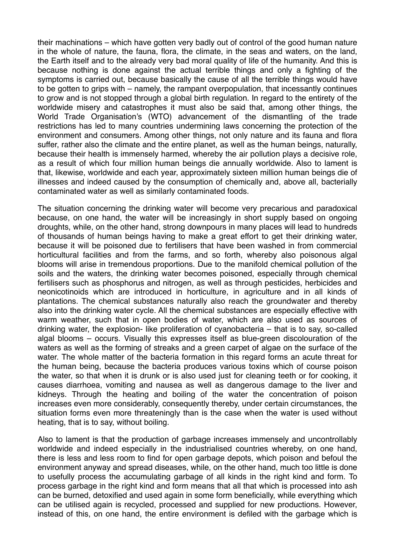their machinations – which have gotten very badly out of control of the good human nature in the whole of nature, the fauna, flora, the climate, in the seas and waters, on the land, the Earth itself and to the already very bad moral quality of life of the humanity. And this is because nothing is done against the actual terrible things and only a fighting of the symptoms is carried out, because basically the cause of all the terrible things would have to be gotten to grips with – namely, the rampant overpopulation, that incessantly continues to grow and is not stopped through a global birth regulation. In regard to the entirety of the worldwide misery and catastrophes it must also be said that, among other things, the World Trade Organisation's (WTO) advancement of the dismantling of the trade restrictions has led to many countries undermining laws concerning the protection of the environment and consumers. Among other things, not only nature and its fauna and flora suffer, rather also the climate and the entire planet, as well as the human beings, naturally, because their health is immensely harmed, whereby the air pollution plays a decisive role, as a result of which four million human beings die annually worldwide. Also to lament is that, likewise, worldwide and each year, approximately sixteen million human beings die of illnesses and indeed caused by the consumption of chemically and, above all, bacterially contaminated water as well as similarly contaminated foods.

The situation concerning the drinking water will become very precarious and paradoxical because, on one hand, the water will be increasingly in short supply based on ongoing droughts, while, on the other hand, strong downpours in many places will lead to hundreds of thousands of human beings having to make a great effort to get their drinking water, because it will be poisoned due to fertilisers that have been washed in from commercial horticultural facilities and from the farms, and so forth, whereby also poisonous algal blooms will arise in tremendous proportions. Due to the manifold chemical pollution of the soils and the waters, the drinking water becomes poisoned, especially through chemical fertilisers such as phosphorus and nitrogen, as well as through pesticides, herbicides and neonicotinoids which are introduced in horticulture, in agriculture and in all kinds of plantations. The chemical substances naturally also reach the groundwater and thereby also into the drinking water cycle. All the chemical substances are especially effective with warm weather, such that in open bodies of water, which are also used as sources of drinking water, the explosion- like proliferation of cyanobacteria – that is to say, so-called algal blooms – occurs. Visually this expresses itself as blue-green discolouration of the waters as well as the forming of streaks and a green carpet of algae on the surface of the water. The whole matter of the bacteria formation in this regard forms an acute threat for the human being, because the bacteria produces various toxins which of course poison the water, so that when it is drunk or is also used just for cleaning teeth or for cooking, it causes diarrhoea, vomiting and nausea as well as dangerous damage to the liver and kidneys. Through the heating and boiling of the water the concentration of poison increases even more considerably, consequently thereby, under certain circumstances, the situation forms even more threateningly than is the case when the water is used without heating, that is to say, without boiling.

Also to lament is that the production of garbage increases immensely and uncontrollably worldwide and indeed especially in the industrialised countries whereby, on one hand, there is less and less room to find for open garbage depots, which poison and befoul the environment anyway and spread diseases, while, on the other hand, much too little is done to usefully process the accumulating garbage of all kinds in the right kind and form. To process garbage in the right kind and form means that all that which is processed into ash can be burned, detoxified and used again in some form beneficially, while everything which can be utilised again is recycled, processed and supplied for new productions. However, instead of this, on one hand, the entire environment is defiled with the garbage which is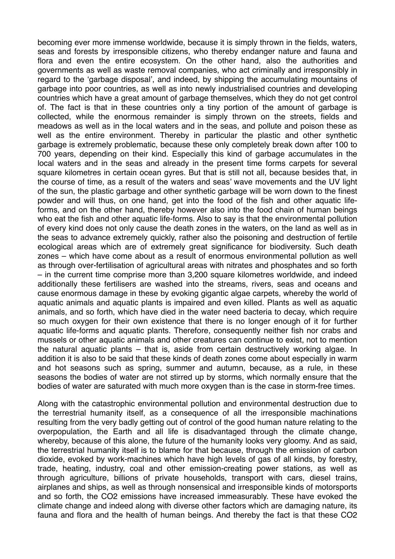becoming ever more immense worldwide, because it is simply thrown in the fields, waters, seas and forests by irresponsible citizens, who thereby endanger nature and fauna and flora and even the entire ecosystem. On the other hand, also the authorities and governments as well as waste removal companies, who act criminally and irresponsibly in regard to the 'garbage disposal', and indeed, by shipping the accumulating mountains of garbage into poor countries, as well as into newly industrialised countries and developing countries which have a great amount of garbage themselves, which they do not get control of. The fact is that in these countries only a tiny portion of the amount of garbage is collected, while the enormous remainder is simply thrown on the streets, fields and meadows as well as in the local waters and in the seas, and pollute and poison these as well as the entire environment. Thereby in particular the plastic and other synthetic garbage is extremely problematic, because these only completely break down after 100 to 700 years, depending on their kind. Especially this kind of garbage accumulates in the local waters and in the seas and already in the present time forms carpets for several square kilometres in certain ocean gyres. But that is still not all, because besides that, in the course of time, as a result of the waters and seas' wave movements and the UV light of the sun, the plastic garbage and other synthetic garbage will be worn down to the finest powder and will thus, on one hand, get into the food of the fish and other aquatic lifeforms, and on the other hand, thereby however also into the food chain of human beings who eat the fish and other aquatic life-forms. Also to say is that the environmental pollution of every kind does not only cause the death zones in the waters, on the land as well as in the seas to advance extremely quickly, rather also the poisoning and destruction of fertile ecological areas which are of extremely great significance for biodiversity. Such death zones – which have come about as a result of enormous environmental pollution as well as through over-fertilisation of agricultural areas with nitrates and phosphates and so forth – in the current time comprise more than 3,200 square kilometres worldwide, and indeed additionally these fertilisers are washed into the streams, rivers, seas and oceans and cause enormous damage in these by evoking gigantic algae carpets, whereby the world of aquatic animals and aquatic plants is impaired and even killed. Plants as well as aquatic animals, and so forth, which have died in the water need bacteria to decay, which require so much oxygen for their own existence that there is no longer enough of it for further aquatic life-forms and aquatic plants. Therefore, consequently neither fish nor crabs and mussels or other aquatic animals and other creatures can continue to exist, not to mention the natural aquatic plants – that is, aside from certain destructively working algae. In addition it is also to be said that these kinds of death zones come about especially in warm and hot seasons such as spring, summer and autumn, because, as a rule, in these seasons the bodies of water are not stirred up by storms, which normally ensure that the bodies of water are saturated with much more oxygen than is the case in storm-free times.

Along with the catastrophic environmental pollution and environmental destruction due to the terrestrial humanity itself, as a consequence of all the irresponsible machinations resulting from the very badly getting out of control of the good human nature relating to the overpopulation, the Earth and all life is disadvantaged through the climate change, whereby, because of this alone, the future of the humanity looks very gloomy. And as said, the terrestrial humanity itself is to blame for that because, through the emission of carbon dioxide, evoked by work-machines which have high levels of gas of all kinds, by forestry, trade, heating, industry, coal and other emission-creating power stations, as well as through agriculture, billions of private households, transport with cars, diesel trains, airplanes and ships, as well as through nonsensical and irresponsible kinds of motorsports and so forth, the CO2 emissions have increased immeasurably. These have evoked the climate change and indeed along with diverse other factors which are damaging nature, its fauna and flora and the health of human beings. And thereby the fact is that these CO2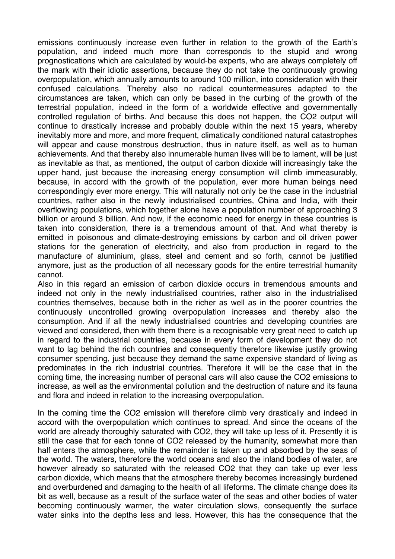emissions continuously increase even further in relation to the growth of the Earth's population, and indeed much more than corresponds to the stupid and wrong prognostications which are calculated by would-be experts, who are always completely off the mark with their idiotic assertions, because they do not take the continuously growing overpopulation, which annually amounts to around 100 million, into consideration with their confused calculations. Thereby also no radical countermeasures adapted to the circumstances are taken, which can only be based in the curbing of the growth of the terrestrial population, indeed in the form of a worldwide effective and governmentally controlled regulation of births. And because this does not happen, the CO2 output will continue to drastically increase and probably double within the next 15 years, whereby inevitably more and more, and more frequent, climatically conditioned natural catastrophes will appear and cause monstrous destruction, thus in nature itself, as well as to human achievements. And that thereby also innumerable human lives will be to lament, will be just as inevitable as that, as mentioned, the output of carbon dioxide will increasingly take the upper hand, just because the increasing energy consumption will climb immeasurably, because, in accord with the growth of the population, ever more human beings need correspondingly ever more energy. This will naturally not only be the case in the industrial countries, rather also in the newly industrialised countries, China and India, with their overflowing populations, which together alone have a population number of approaching 3 billion or around 3 billion. And now, if the economic need for energy in these countries is taken into consideration, there is a tremendous amount of that. And what thereby is emitted in poisonous and climate-destroying emissions by carbon and oil driven power stations for the generation of electricity, and also from production in regard to the manufacture of aluminium, glass, steel and cement and so forth, cannot be justified anymore, just as the production of all necessary goods for the entire terrestrial humanity cannot.

Also in this regard an emission of carbon dioxide occurs in tremendous amounts and indeed not only in the newly industrialised countries, rather also in the industrialised countries themselves, because both in the richer as well as in the poorer countries the continuously uncontrolled growing overpopulation increases and thereby also the consumption. And if all the newly industrialised countries and developing countries are viewed and considered, then with them there is a recognisable very great need to catch up in regard to the industrial countries, because in every form of development they do not want to lag behind the rich countries and consequently therefore likewise justify growing consumer spending, just because they demand the same expensive standard of living as predominates in the rich industrial countries. Therefore it will be the case that in the coming time, the increasing number of personal cars will also cause the CO2 emissions to increase, as well as the environmental pollution and the destruction of nature and its fauna and flora and indeed in relation to the increasing overpopulation.

In the coming time the CO2 emission will therefore climb very drastically and indeed in accord with the overpopulation which continues to spread. And since the oceans of the world are already thoroughly saturated with CO2, they will take up less of it. Presently it is still the case that for each tonne of CO2 released by the humanity, somewhat more than half enters the atmosphere, while the remainder is taken up and absorbed by the seas of the world. The waters, therefore the world oceans and also the inland bodies of water, are however already so saturated with the released CO2 that they can take up ever less carbon dioxide, which means that the atmosphere thereby becomes increasingly burdened and overburdened and damaging to the health of all lifeforms. The climate change does its bit as well, because as a result of the surface water of the seas and other bodies of water becoming continuously warmer, the water circulation slows, consequently the surface water sinks into the depths less and less. However, this has the consequence that the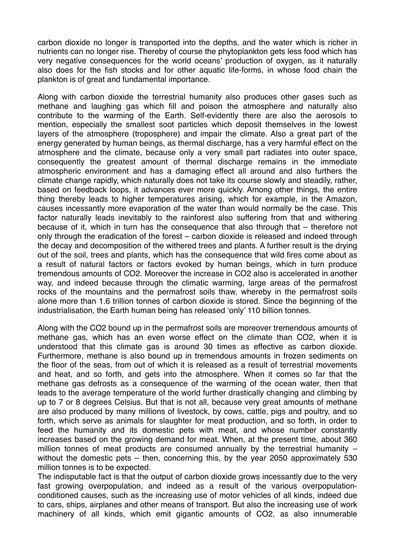carbon dioxide no longer is transported into the depths, and the water which is richer in nutrients can no longer rise. Thereby of course the phytoplankton gets less food which has very negative consequences for the world oceans' production of oxygen, as it naturally also does for the fish stocks and for other aquatic life-forms, in whose food chain the plankton is of great and fundamental importance.

Along with carbon dioxide the terrestrial humanity also produces other gases such as methane and laughing gas which fill and poison the atmosphere and naturally also contribute to the warming of the Earth. Self-evidently there are also the aerosols to mention, especially the smallest soot particles which deposit themselves in the lowest layers of the atmosphere (troposphere) and impair the climate. Also a great part of the energy generated by human beings, as thermal discharge, has a very harmful effect on the atmosphere and the climate, because only a very small part radiates into outer space, consequently the greatest amount of thermal discharge remains in the immediate atmospheric environment and has a damaging effect all around and also furthers the climate change rapidly, which naturally does not take its course slowly and steadily, rather, based on feedback loops, it advances ever more quickly. Among other things, the entire thing thereby leads to higher temperatures arising, which for example, in the Amazon, causes incessantly more evaporation of the water than would normally be the case. This factor naturally leads inevitably to the rainforest also suffering from that and withering because of it, which in turn has the consequence that also through that – therefore not only through the eradication of the forest – carbon dioxide is released and indeed through the decay and decomposition of the withered trees and plants. A further result is the drying out of the soil, trees and plants, which has the consequence that wild fires come about as a result of natural factors or factors evoked by human beings, which in turn produce tremendous amounts of CO2. Moreover the increase in CO2 also is accelerated in another way, and indeed because through the climatic warming, large areas of the permafrost rocks of the mountains and the permafrost soils thaw, whereby in the permafrost soils alone more than 1.6 trillion tonnes of carbon dioxide is stored. Since the beginning of the industrialisation, the Earth human being has released 'only' 110 billion tonnes.

Along with the CO2 bound up in the permafrost soils are moreover tremendous amounts of methane gas, which has an even worse effect on the climate than CO2, when it is understood that this climate gas is around 30 times as effective as carbon dioxide. Furthermore, methane is also bound up in tremendous amounts in frozen sediments on the floor of the seas, from out of which it is released as a result of terrestrial movements and heat, and so forth, and gets into the atmosphere. When it comes so far that the methane gas defrosts as a consequence of the warming of the ocean water, then that leads to the average temperature of the world further drastically changing and climbing by up to 7 or 8 degrees Celsius. But that is not all, because very great amounts of methane are also produced by many millions of livestock, by cows, cattle, pigs and poultry, and so forth, which serve as animals for slaughter for meat production, and so forth, in order to feed the humanity and its domestic pets with meat, and whose number constantly increases based on the growing demand for meat. When, at the present time, about 360 million tonnes of meat products are consumed annually by the terrestrial humanity – without the domestic pets – then, concerning this, by the year 2050 approximately 530 million tonnes is to be expected.

The indisputable fact is that the output of carbon dioxide grows incessantly due to the very fast growing overpopulation, and indeed as a result of the various overpopulationconditioned causes, such as the increasing use of motor vehicles of all kinds, indeed due to cars, ships, airplanes and other means of transport. But also the increasing use of work machinery of all kinds, which emit gigantic amounts of CO2, as also innumerable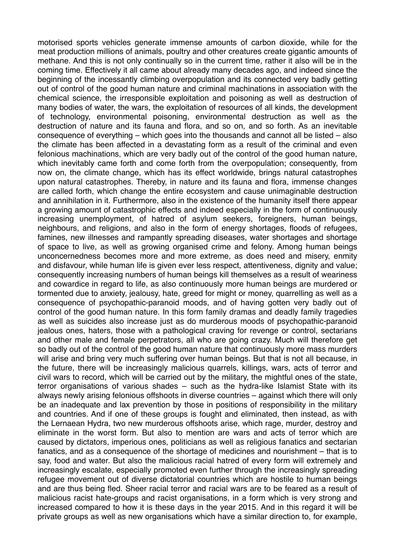motorised sports vehicles generate immense amounts of carbon dioxide, while for the meat production millions of animals, poultry and other creatures create gigantic amounts of methane. And this is not only continually so in the current time, rather it also will be in the coming time. Effectively it all came about already many decades ago, and indeed since the beginning of the incessantly climbing overpopulation and its connected very badly getting out of control of the good human nature and criminal machinations in association with the chemical science, the irresponsible exploitation and poisoning as well as destruction of many bodies of water, the wars, the exploitation of resources of all kinds, the development of technology, environmental poisoning, environmental destruction as well as the destruction of nature and its fauna and flora, and so on, and so forth. As an inevitable consequence of everything – which goes into the thousands and cannot all be listed – also the climate has been affected in a devastating form as a result of the criminal and even felonious machinations, which are very badly out of the control of the good human nature, which inevitably came forth and come forth from the overpopulation; consequently, from now on, the climate change, which has its effect worldwide, brings natural catastrophes upon natural catastrophes. Thereby, in nature and its fauna and flora, immense changes are called forth, which change the entire ecosystem and cause unimaginable destruction and annihilation in it. Furthermore, also in the existence of the humanity itself there appear a growing amount of catastrophic effects and indeed especially in the form of continuously increasing unemployment, of hatred of asylum seekers, foreigners, human beings, neighbours, and religions, and also in the form of energy shortages, floods of refugees, famines, new illnesses and rampantly spreading diseases, water shortages and shortage of space to live, as well as growing organised crime and felony. Among human beings unconcernedness becomes more and more extreme, as does need and misery, enmity and disfavour, while human life is given ever less respect, attentiveness, dignity and value; consequently increasing numbers of human beings kill themselves as a result of weariness and cowardice in regard to life, as also continuously more human beings are murdered or tormented due to anxiety, jealousy, hate, greed for might or money, quarrelling as well as a consequence of psychopathic-paranoid moods, and of having gotten very badly out of control of the good human nature. In this form family dramas and deadly family tragedies as well as suicides also increase just as do murderous moods of psychopathic-paranoid jealous ones, haters, those with a pathological craving for revenge or control, sectarians and other male and female perpetrators, all who are going crazy. Much will therefore get so badly out of the control of the good human nature that continuously more mass murders will arise and bring very much suffering over human beings. But that is not all because, in the future, there will be increasingly malicious quarrels, killings, wars, acts of terror and civil wars to record, which will be carried out by the military, the mightful ones of the state, terror organisations of various shades – such as the hydra-like Islamist State with its always newly arising felonious offshoots in diverse countries – against which there will only be an inadequate and lax prevention by those in positions of responsibility in the military and countries. And if one of these groups is fought and eliminated, then instead, as with the Lernaean Hydra, two new murderous offshoots arise, which rage, murder, destroy and eliminate in the worst form. But also to mention are wars and acts of terror which are caused by dictators, imperious ones, politicians as well as religious fanatics and sectarian fanatics, and as a consequence of the shortage of medicines and nourishment – that is to say, food and water. But also the malicious racial hatred of every form will extremely and increasingly escalate, especially promoted even further through the increasingly spreading refugee movement out of diverse dictatorial countries which are hostile to human beings and are thus being fled. Sheer racial terror and racial wars are to be feared as a result of malicious racist hate-groups and racist organisations, in a form which is very strong and increased compared to how it is these days in the year 2015. And in this regard it will be private groups as well as new organisations which have a similar direction to, for example,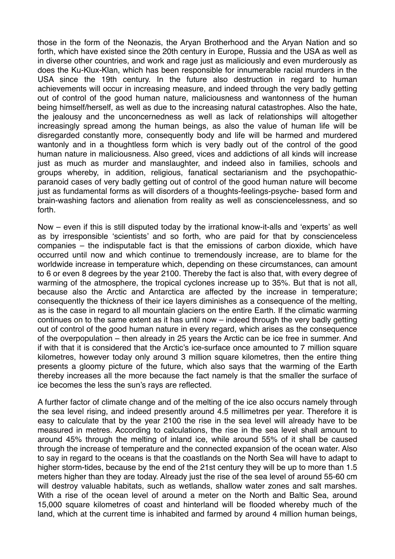those in the form of the Neonazis, the Aryan Brotherhood and the Aryan Nation and so forth, which have existed since the 20th century in Europe, Russia and the USA as well as in diverse other countries, and work and rage just as maliciously and even murderously as does the Ku-Klux-Klan, which has been responsible for innumerable racial murders in the USA since the 19th century. In the future also destruction in regard to human achievements will occur in increasing measure, and indeed through the very badly getting out of control of the good human nature, maliciousness and wantonness of the human being himself/herself, as well as due to the increasing natural catastrophes. Also the hate, the jealousy and the unconcernedness as well as lack of relationships will altogether increasingly spread among the human beings, as also the value of human life will be disregarded constantly more, consequently body and life will be harmed and murdered wantonly and in a thoughtless form which is very badly out of the control of the good human nature in maliciousness. Also greed, vices and addictions of all kinds will increase just as much as murder and manslaughter, and indeed also in families, schools and groups whereby, in addition, religious, fanatical sectarianism and the psychopathicparanoid cases of very badly getting out of control of the good human nature will become just as fundamental forms as will disorders of a thoughts-feelings-psyche- based form and brain-washing factors and alienation from reality as well as consciencelessness, and so forth.

Now – even if this is still disputed today by the irrational know-it-alls and 'experts' as well as by irresponsible 'scientists' and so forth, who are paid for that by conscienceless companies – the indisputable fact is that the emissions of carbon dioxide, which have occurred until now and which continue to tremendously increase, are to blame for the worldwide increase in temperature which, depending on these circumstances, can amount to 6 or even 8 degrees by the year 2100. Thereby the fact is also that, with every degree of warming of the atmosphere, the tropical cyclones increase up to 35%. But that is not all, because also the Arctic and Antarctica are affected by the increase in temperature; consequently the thickness of their ice layers diminishes as a consequence of the melting, as is the case in regard to all mountain glaciers on the entire Earth. If the climatic warming continues on to the same extent as it has until now – indeed through the very badly getting out of control of the good human nature in every regard, which arises as the consequence of the overpopulation – then already in 25 years the Arctic can be ice free in summer. And if with that it is considered that the Arctic's ice-surface once amounted to 7 million square kilometres, however today only around 3 million square kilometres, then the entire thing presents a gloomy picture of the future, which also says that the warming of the Earth thereby increases all the more because the fact namely is that the smaller the surface of ice becomes the less the sun's rays are reflected.

A further factor of climate change and of the melting of the ice also occurs namely through the sea level rising, and indeed presently around 4.5 millimetres per year. Therefore it is easy to calculate that by the year 2100 the rise in the sea level will already have to be measured in metres. According to calculations, the rise in the sea level shall amount to around 45% through the melting of inland ice, while around 55% of it shall be caused through the increase of temperature and the connected expansion of the ocean water. Also to say in regard to the oceans is that the coastlands on the North Sea will have to adapt to higher storm-tides, because by the end of the 21st century they will be up to more than 1.5 meters higher than they are today. Already just the rise of the sea level of around 55-60 cm will destroy valuable habitats, such as wetlands, shallow water zones and salt marshes. With a rise of the ocean level of around a meter on the North and Baltic Sea, around 15,000 square kilometres of coast and hinterland will be flooded whereby much of the land, which at the current time is inhabited and farmed by around 4 million human beings,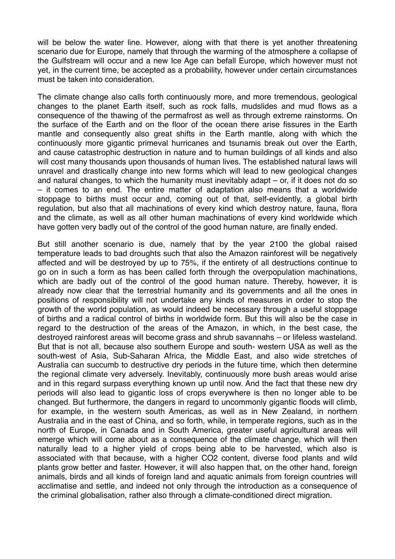will be below the water line. However, along with that there is yet another threatening scenario due for Europe, namely that through the warming of the atmosphere a collapse of the Gulfstream will occur and a new Ice Age can befall Europe, which however must not yet, in the current time, be accepted as a probability, however under certain circumstances must be taken into consideration.

The climate change also calls forth continuously more, and more tremendous, geological changes to the planet Earth itself, such as rock falls, mudslides and mud flows as a consequence of the thawing of the permafrost as well as through extreme rainstorms. On the surface of the Earth and on the floor of the ocean there arise fissures in the Earth mantle and consequently also great shifts in the Earth mantle, along with which the continuously more gigantic primeval hurricanes and tsunamis break out over the Earth, and cause catastrophic destruction in nature and to human buildings of all kinds and also will cost many thousands upon thousands of human lives. The established natural laws will unravel and drastically change into new forms which will lead to new geological changes and natural changes, to which the humanity must inevitably adapt – or, if it does not do so – it comes to an end. The entire matter of adaptation also means that a worldwide stoppage to births must occur and, coming out of that, self-evidently, a global birth regulation, but also that all machinations of every kind which destroy nature, fauna, flora and the climate, as well as all other human machinations of every kind worldwide which have gotten very badly out of the control of the good human nature, are finally ended.

But still another scenario is due, namely that by the year 2100 the global raised temperature leads to bad droughts such that also the Amazon rainforest will be negatively affected and will be destroyed by up to 75%, if the entirety of all destructions continue to go on in such a form as has been called forth through the overpopulation machinations, which are badly out of the control of the good human nature. Thereby, however, it is already now clear that the terrestrial humanity and its governments and all the ones in positions of responsibility will not undertake any kinds of measures in order to stop the growth of the world population, as would indeed be necessary through a useful stoppage of births and a radical control of births in worldwide form. But this will also be the case in regard to the destruction of the areas of the Amazon, in which, in the best case, the destroyed rainforest areas will become grass and shrub savannahs – or lifeless wasteland. But that is not all, because also southern Europe and south- western USA as well as the south-west of Asia, Sub-Saharan Africa, the Middle East, and also wide stretches of Australia can succumb to destructive dry periods in the future time, which then determine the regional climate very adversely. Inevitably, continuously more bush areas would arise and in this regard surpass everything known up until now. And the fact that these new dry periods will also lead to gigantic loss of crops everywhere is then no longer able to be changed. But furthermore, the dangers in regard to uncommonly gigantic floods will climb, for example, in the western south Americas, as well as in New Zealand, in northern Australia and in the east of China, and so forth, while, in temperate regions, such as in the north of Europe, in Canada and in South America, greater useful agricultural areas will emerge which will come about as a consequence of the climate change, which will then naturally lead to a higher yield of crops being able to be harvested, which also is associated with that because, with a higher CO2 content, diverse food plants and wild plants grow better and faster. However, it will also happen that, on the other hand, foreign animals, birds and all kinds of foreign land and aquatic animals from foreign countries will acclimatise and settle, and indeed not only through the introduction as a consequence of the criminal globalisation, rather also through a climate-conditioned direct migration.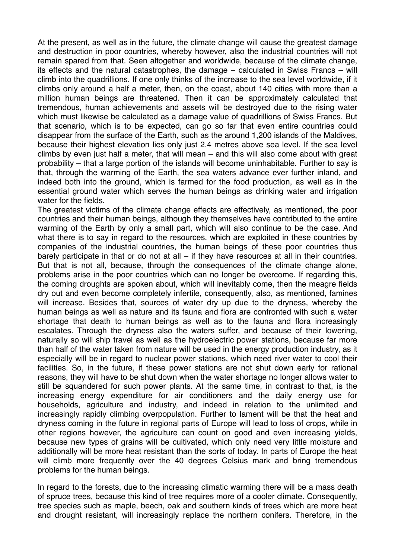At the present, as well as in the future, the climate change will cause the greatest damage and destruction in poor countries, whereby however, also the industrial countries will not remain spared from that. Seen altogether and worldwide, because of the climate change, its effects and the natural catastrophes, the damage – calculated in Swiss Francs – will climb into the quadrillions. If one only thinks of the increase to the sea level worldwide, if it climbs only around a half a meter, then, on the coast, about 140 cities with more than a million human beings are threatened. Then it can be approximately calculated that tremendous, human achievements and assets will be destroyed due to the rising water which must likewise be calculated as a damage value of quadrillions of Swiss Francs. But that scenario, which is to be expected, can go so far that even entire countries could disappear from the surface of the Earth, such as the around 1,200 islands of the Maldives, because their highest elevation lies only just 2.4 metres above sea level. If the sea level climbs by even just half a meter, that will mean – and this will also come about with great probability – that a large portion of the islands will become uninhabitable. Further to say is that, through the warming of the Earth, the sea waters advance ever further inland, and indeed both into the ground, which is farmed for the food production, as well as in the essential ground water which serves the human beings as drinking water and irrigation water for the fields.

The greatest victims of the climate change effects are effectively, as mentioned, the poor countries and their human beings, although they themselves have contributed to the entire warming of the Earth by only a small part, which will also continue to be the case. And what there is to say in regard to the resources, which are exploited in these countries by companies of the industrial countries, the human beings of these poor countries thus barely participate in that or do not at all – if they have resources at all in their countries. But that is not all, because, through the consequences of the climate change alone, problems arise in the poor countries which can no longer be overcome. If regarding this, the coming droughts are spoken about, which will inevitably come, then the meagre fields dry out and even become completely infertile, consequently, also, as mentioned, famines will increase. Besides that, sources of water dry up due to the dryness, whereby the human beings as well as nature and its fauna and flora are confronted with such a water shortage that death to human beings as well as to the fauna and flora increasingly escalates. Through the dryness also the waters suffer, and because of their lowering, naturally so will ship travel as well as the hydroelectric power stations, because far more than half of the water taken from nature will be used in the energy production industry, as it especially will be in regard to nuclear power stations, which need river water to cool their facilities. So, in the future, if these power stations are not shut down early for rational reasons, they will have to be shut down when the water shortage no longer allows water to still be squandered for such power plants. At the same time, in contrast to that, is the increasing energy expenditure for air conditioners and the daily energy use for households, agriculture and industry, and indeed in relation to the unlimited and increasingly rapidly climbing overpopulation. Further to lament will be that the heat and dryness coming in the future in regional parts of Europe will lead to loss of crops, while in other regions however, the agriculture can count on good and even increasing yields, because new types of grains will be cultivated, which only need very little moisture and additionally will be more heat resistant than the sorts of today. In parts of Europe the heat will climb more frequently over the 40 degrees Celsius mark and bring tremendous problems for the human beings.

In regard to the forests, due to the increasing climatic warming there will be a mass death of spruce trees, because this kind of tree requires more of a cooler climate. Consequently, tree species such as maple, beech, oak and southern kinds of trees which are more heat and drought resistant, will increasingly replace the northern conifers. Therefore, in the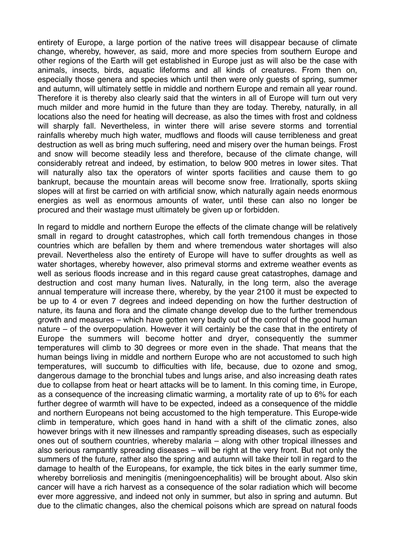entirety of Europe, a large portion of the native trees will disappear because of climate change, whereby, however, as said, more and more species from southern Europe and other regions of the Earth will get established in Europe just as will also be the case with animals, insects, birds, aquatic lifeforms and all kinds of creatures. From then on, especially those genera and species which until then were only guests of spring, summer and autumn, will ultimately settle in middle and northern Europe and remain all year round. Therefore it is thereby also clearly said that the winters in all of Europe will turn out very much milder and more humid in the future than they are today. Thereby, naturally, in all locations also the need for heating will decrease, as also the times with frost and coldness will sharply fall. Nevertheless, in winter there will arise severe storms and torrential rainfalls whereby much high water, mudflows and floods will cause terribleness and great destruction as well as bring much suffering, need and misery over the human beings. Frost and snow will become steadily less and therefore, because of the climate change, will considerably retreat and indeed, by estimation, to below 900 metres in lower sites. That will naturally also tax the operators of winter sports facilities and cause them to go bankrupt, because the mountain areas will become snow free. Irrationally, sports skiing slopes will at first be carried on with artificial snow, which naturally again needs enormous energies as well as enormous amounts of water, until these can also no longer be procured and their wastage must ultimately be given up or forbidden.

In regard to middle and northern Europe the effects of the climate change will be relatively small in regard to drought catastrophes, which call forth tremendous changes in those countries which are befallen by them and where tremendous water shortages will also prevail. Nevertheless also the entirety of Europe will have to suffer droughts as well as water shortages, whereby however, also primeval storms and extreme weather events as well as serious floods increase and in this regard cause great catastrophes, damage and destruction and cost many human lives. Naturally, in the long term, also the average annual temperature will increase there, whereby, by the year 2100 it must be expected to be up to 4 or even 7 degrees and indeed depending on how the further destruction of nature, its fauna and flora and the climate change develop due to the further tremendous growth and measures – which have gotten very badly out of the control of the good human nature – of the overpopulation. However it will certainly be the case that in the entirety of Europe the summers will become hotter and dryer, consequently the summer temperatures will climb to 30 degrees or more even in the shade. That means that the human beings living in middle and northern Europe who are not accustomed to such high temperatures, will succumb to difficulties with life, because, due to ozone and smog, dangerous damage to the bronchial tubes and lungs arise, and also increasing death rates due to collapse from heat or heart attacks will be to lament. In this coming time, in Europe, as a consequence of the increasing climatic warming, a mortality rate of up to 6% for each further degree of warmth will have to be expected, indeed as a consequence of the middle and northern Europeans not being accustomed to the high temperature. This Europe-wide climb in temperature, which goes hand in hand with a shift of the climatic zones, also however brings with it new illnesses and rampantly spreading diseases, such as especially ones out of southern countries, whereby malaria – along with other tropical illnesses and also serious rampantly spreading diseases – will be right at the very front. But not only the summers of the future, rather also the spring and autumn will take their toll in regard to the damage to health of the Europeans, for example, the tick bites in the early summer time, whereby borreliosis and meningitis (meningoencephalitis) will be brought about. Also skin cancer will have a rich harvest as a consequence of the solar radiation which will become ever more aggressive, and indeed not only in summer, but also in spring and autumn. But due to the climatic changes, also the chemical poisons which are spread on natural foods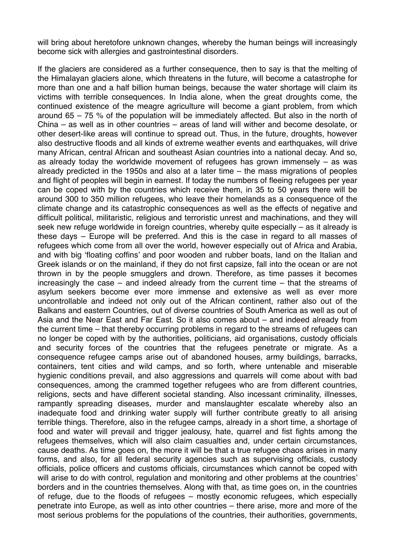will bring about heretofore unknown changes, whereby the human beings will increasingly become sick with allergies and gastrointestinal disorders.

If the glaciers are considered as a further consequence, then to say is that the melting of the Himalayan glaciers alone, which threatens in the future, will become a catastrophe for more than one and a half billion human beings, because the water shortage will claim its victims with terrible consequences. In India alone, when the great droughts come, the continued existence of the meagre agriculture will become a giant problem, from which around 65 – 75 % of the population will be immediately affected. But also in the north of China – as well as in other countries – areas of land will wither and become desolate, or other desert-like areas will continue to spread out. Thus, in the future, droughts, however also destructive floods and all kinds of extreme weather events and earthquakes, will drive many African, central African and southeast Asian countries into a national decay. And so, as already today the worldwide movement of refugees has grown immensely – as was already predicted in the 1950s and also at a later time – the mass migrations of peoples and flight of peoples will begin in earnest. If today the numbers of fleeing refugees per year can be coped with by the countries which receive them, in 35 to 50 years there will be around 300 to 350 million refugees, who leave their homelands as a consequence of the climate change and its catastrophic consequences as well as the effects of negative and difficult political, militaristic, religious and terroristic unrest and machinations, and they will seek new refuge worldwide in foreign countries, whereby quite especially – as it already is these days – Europe will be preferred. And this is the case in regard to all masses of refugees which come from all over the world, however especially out of Africa and Arabia, and with big 'floating coffins' and poor wooden and rubber boats, land on the Italian and Greek islands or on the mainland, if they do not first capsize, fall into the ocean or are not thrown in by the people smugglers and drown. Therefore, as time passes it becomes increasingly the case – and indeed already from the current time – that the streams of asylum seekers become ever more immense and extensive as well as ever more uncontrollable and indeed not only out of the African continent, rather also out of the Balkans and eastern Countries, out of diverse countries of South America as well as out of Asia and the Near East and Far East. So it also comes about – and indeed already from the current time – that thereby occurring problems in regard to the streams of refugees can no longer be coped with by the authorities, politicians, aid organisations, custody officials and security forces of the countries that the refugees penetrate or migrate. As a consequence refugee camps arise out of abandoned houses, army buildings, barracks, containers, tent cities and wild camps, and so forth, where untenable and miserable hygienic conditions prevail, and also aggressions and quarrels will come about with bad consequences, among the crammed together refugees who are from different countries, religions, sects and have different societal standing. Also incessant criminality, illnesses, rampantly spreading diseases, murder and manslaughter escalate whereby also an inadequate food and drinking water supply will further contribute greatly to all arising terrible things. Therefore, also in the refugee camps, already in a short time, a shortage of food and water will prevail and trigger jealousy, hate, quarrel and fist fights among the refugees themselves, which will also claim casualties and, under certain circumstances, cause deaths. As time goes on, the more it will be that a true refugee chaos arises in many forms, and also, for all federal security agencies such as supervising officials, custody officials, police officers and customs officials, circumstances which cannot be coped with will arise to do with control, regulation and monitoring and other problems at the countries' borders and in the countries themselves. Along with that, as time goes on, in the countries of refuge, due to the floods of refugees – mostly economic refugees, which especially penetrate into Europe, as well as into other countries – there arise, more and more of the most serious problems for the populations of the countries, their authorities, governments,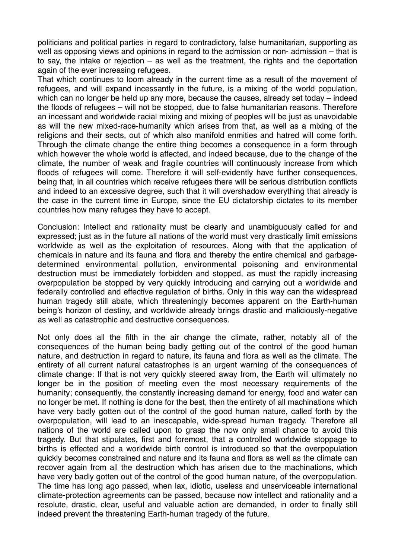politicians and political parties in regard to contradictory, false humanitarian, supporting as well as opposing views and opinions in regard to the admission or non- admission – that is to say, the intake or rejection – as well as the treatment, the rights and the deportation again of the ever increasing refugees.

That which continues to loom already in the current time as a result of the movement of refugees, and will expand incessantly in the future, is a mixing of the world population, which can no longer be held up any more, because the causes, already set today – indeed the floods of refugees – will not be stopped, due to false humanitarian reasons. Therefore an incessant and worldwide racial mixing and mixing of peoples will be just as unavoidable as will the new mixed-race-humanity which arises from that, as well as a mixing of the religions and their sects, out of which also manifold enmities and hatred will come forth. Through the climate change the entire thing becomes a consequence in a form through which however the whole world is affected, and indeed because, due to the change of the climate, the number of weak and fragile countries will continuously increase from which floods of refugees will come. Therefore it will self-evidently have further consequences, being that, in all countries which receive refugees there will be serious distribution conflicts and indeed to an excessive degree, such that it will overshadow everything that already is the case in the current time in Europe, since the EU dictatorship dictates to its member countries how many refuges they have to accept.

Conclusion: Intellect and rationality must be clearly and unambiguously called for and expressed; just as in the future all nations of the world must very drastically limit emissions worldwide as well as the exploitation of resources. Along with that the application of chemicals in nature and its fauna and flora and thereby the entire chemical and garbagedetermined environmental pollution, environmental poisoning and environmental destruction must be immediately forbidden and stopped, as must the rapidly increasing overpopulation be stopped by very quickly introducing and carrying out a worldwide and federally controlled and effective regulation of births. Only in this way can the widespread human tragedy still abate, which threateningly becomes apparent on the Earth-human being's horizon of destiny, and worldwide already brings drastic and maliciously-negative as well as catastrophic and destructive consequences.

Not only does all the filth in the air change the climate, rather, notably all of the consequences of the human being badly getting out of the control of the good human nature, and destruction in regard to nature, its fauna and flora as well as the climate. The entirety of all current natural catastrophes is an urgent warning of the consequences of climate change: If that is not very quickly steered away from, the Earth will ultimately no longer be in the position of meeting even the most necessary requirements of the humanity; consequently, the constantly increasing demand for energy, food and water can no longer be met. If nothing is done for the best, then the entirety of all machinations which have very badly gotten out of the control of the good human nature, called forth by the overpopulation, will lead to an inescapable, wide-spread human tragedy. Therefore all nations of the world are called upon to grasp the now only small chance to avoid this tragedy. But that stipulates, first and foremost, that a controlled worldwide stoppage to births is effected and a worldwide birth control is introduced so that the overpopulation quickly becomes constrained and nature and its fauna and flora as well as the climate can recover again from all the destruction which has arisen due to the machinations, which have very badly gotten out of the control of the good human nature, of the overpopulation. The time has long ago passed, when lax, idiotic, useless and unserviceable international climate-protection agreements can be passed, because now intellect and rationality and a resolute, drastic, clear, useful and valuable action are demanded, in order to finally still indeed prevent the threatening Earth-human tragedy of the future.